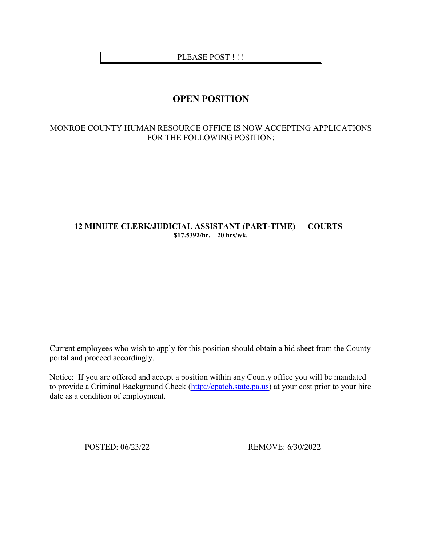PLEASE POST !!!

# **OPEN POSITION**

## MONROE COUNTY HUMAN RESOURCE OFFICE IS NOW ACCEPTING APPLICATIONS FOR THE FOLLOWING POSITION:

## **12 MINUTE CLERK/JUDICIAL ASSISTANT (PART-TIME) – COURTS \$17.5392/hr. – 20 hrs/wk.**

Current employees who wish to apply for this position should obtain a bid sheet from the County portal and proceed accordingly.

Notice: If you are offered and accept a position within any County office you will be mandated to provide a Criminal Background Check [\(http://epatch.state.pa.us\)](http://epatch.state.pa.us/) at your cost prior to your hire date as a condition of employment.

POSTED: 06/23/22 REMOVE: 6/30/2022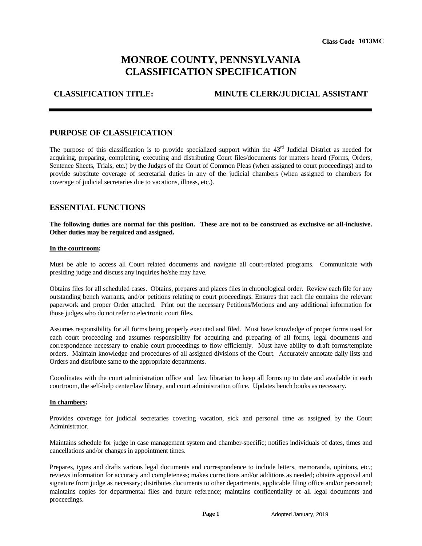# **MONROE COUNTY, PENNSYLVANIA CLASSIFICATION SPECIFICATION**

**CLASSIFICATION TITLE: MINUTE CLERK/JUDICIAL ASSISTANT**

## **PURPOSE OF CLASSIFICATION**

The purpose of this classification is to provide specialized support within the  $43<sup>rd</sup>$  Judicial District as needed for acquiring, preparing, completing, executing and distributing Court files/documents for matters heard (Forms, Orders, Sentence Sheets, Trials, etc.) by the Judges of the Court of Common Pleas (when assigned to court proceedings) and to provide substitute coverage of secretarial duties in any of the judicial chambers (when assigned to chambers for coverage of judicial secretaries due to vacations, illness, etc.). Class Code 1013MC<br> **ANIA**<br> **TION**<br> **K/JUDICIAL ASSISTANT**<br>
43<sup>nd</sup> Judicial District as needed for<br>
assigned to court proceedings) and to<br>
assigned to court proceedings) and to<br>
stress (when assigned to chambers for<br>
strued

## **ESSENTIAL FUNCTIONS**

**The following duties are normal for this position. These are not to be construed as exclusive or all-inclusive. Other duties may be required and assigned.**

### **In the courtroom:**

Must be able to access all Court related documents and navigate all court-related programs. Communicate with presiding judge and discuss any inquiries he/she may have.

Obtains files for all scheduled cases. Obtains, prepares and places files in chronological order. Review each file for any outstanding bench warrants, and/or petitions relating to court proceedings. Ensures that each file contains the relevant paperwork and proper Order attached. Print out the necessary Petitions/Motions and any additional information for those judges who do not refer to electronic court files.

Assumes responsibility for all forms being properly executed and filed. Must have knowledge of proper forms used for each court proceeding and assumes responsibility for acquiring and preparing of all forms, legal documents and correspondence necessary to enable court proceedings to flow efficiently. Must have ability to draft forms/template orders. Maintain knowledge and procedures of all assigned divisions of the Court. Accurately annotate daily lists and Orders and distribute same to the appropriate departments.

Coordinates with the court administration office and law librarian to keep all forms up to date and available in each courtroom, the self-help center/law library, and court administration office. Updates bench books as necessary.

### **In chambers:**

Provides coverage for judicial secretaries covering vacation, sick and personal time as assigned by the Court Administrator.

Maintains schedule for judge in case management system and chamber-specific; notifies individuals of dates, times and cancellations and/or changes in appointment times.

Prepares, types and drafts various legal documents and correspondence to include letters, memoranda, opinions, etc.; reviews information for accuracy and completeness; makes corrections and/or additions as needed; obtains approval and signature from judge as necessary; distributes documents to other departments, applicable filing office and/or personnel; maintains copies for departmental files and future reference; maintains confidentiality of all legal documents and proceedings.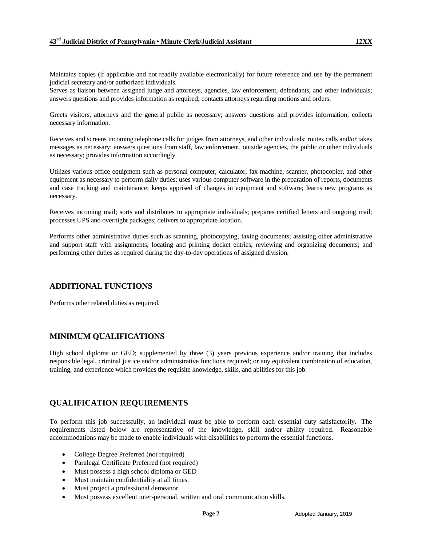Maintains copies (if applicable and not readily available electronically) for future reference and use by the permanent judicial secretary and/or authorized individuals.

Serves as liaison between assigned judge and attorneys, agencies, law enforcement, defendants, and other individuals; answers questions and provides information as required; contacts attorneys regarding motions and orders.

Greets visitors, attorneys and the general public as necessary; answers questions and provides information; collects necessary information.

Receives and screens incoming telephone calls for judges from attorneys, and other individuals; routes calls and/or takes messages as necessary; answers questions from staff, law enforcement, outside agencies, the public or other individuals as necessary; provides information accordingly.

Utilizes various office equipment such as personal computer, calculator, fax machine, scanner, photocopier, and other equipment as necessary to perform daily duties; uses various computer software in the preparation of reports, documents and case tracking and maintenance; keeps apprised of changes in equipment and software; learns new programs as necessary.

Receives incoming mail; sorts and distributes to appropriate individuals; prepares certified letters and outgoing mail; processes UPS and overnight packages; delivers to appropriate location.

Performs other administrative duties such as scanning, photocopying, faxing documents; assisting other administrative and support staff with assignments; locating and printing docket entries, reviewing and organizing documents; and performing other duties as required during the day-to-day operations of assigned division.

## **ADDITIONAL FUNCTIONS**

Performs other related duties as required.

## **MINIMUM QUALIFICATIONS**

High school diploma or GED; supplemented by three (3) years previous experience and/or training that includes responsible legal, criminal justice and/or administrative functions required; or any equivalent combination of education, training, and experience which provides the requisite knowledge, skills, and abilities for this job.

## **QUALIFICATION REQUIREMENTS**

To perform this job successfully, an individual must be able to perform each essential duty satisfactorily. The requirements listed below are representative of the knowledge, skill and/or ability required. Reasonable accommodations may be made to enable individuals with disabilities to perform the essential functions.

- College Degree Preferred (not required)
- Paralegal Certificate Preferred (not required)
- Must possess a high school diploma or GED
- Must maintain confidentiality at all times.
- Must project a professional demeanor.
- Must possess excellent inter-personal, written and oral communication skills.